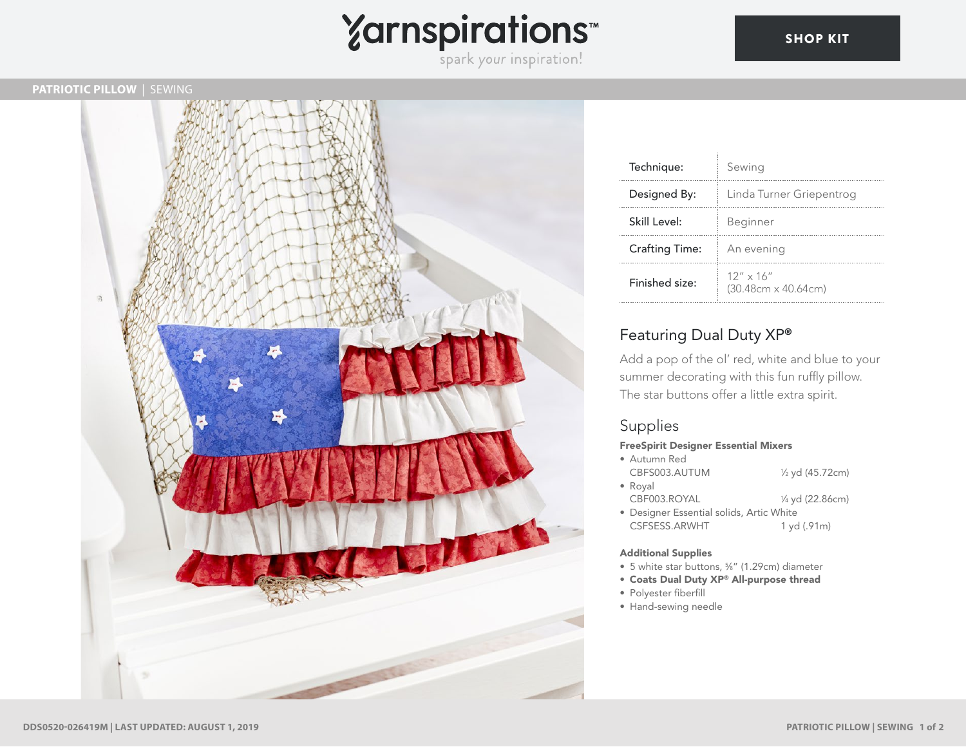

### **PATRIOTIC PILLOW** | SEWING



| Technique:            | Sewing                                           |
|-----------------------|--------------------------------------------------|
| Designed By:          | Linda Turner Griepentrog                         |
| Skill Level:          | Beginner                                         |
| <b>Crafting Time:</b> | An evening                                       |
| Finished size:        | $12'' \times 16''$<br>$(30.48cm \times 40.64cm)$ |

## Featuring Dual Duty XP®

Add a pop of the ol' red, white and blue to your summer decorating with this fun ruffly pillow. The star buttons offer a little extra spirit.

## Supplies

### FreeSpirit Designer Essential Mixers

- Autumn Red CBFS003.AUTUM ⁄2 yd (45.72cm) • Royal
	- CBF003.ROYAL ⁄4 yd (22.86cm)
- Designer Essential solids, Artic White CSFSESS.ARWHT 1 yd (.91m)

#### Additional Supplies

- 5 white star buttons, 5 ⁄8" (1.29cm) diameter
- Coats Dual Duty XP® All-purpose thread
- Polyester fiberfill
- Hand-sewing needle